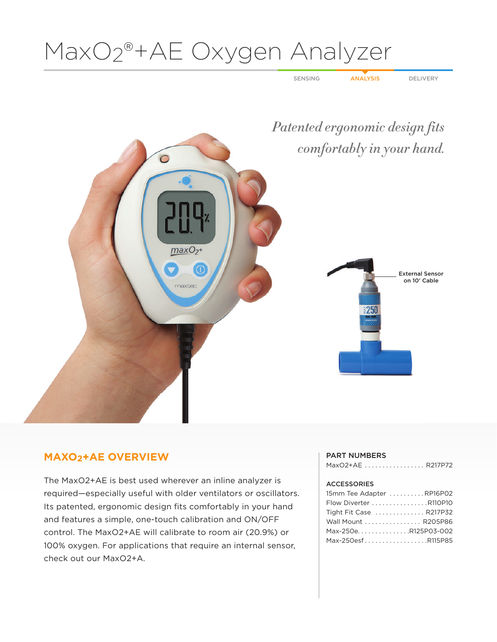# MaxO2®+AE Oxygen Analyzer

SENSING ANALYSIS DELIVERY



## **MAXO2+AE OVERVIEW**

The MaxO2+AE is best used wherever an inline analyzer is required—especially useful with older ventilators or oscillators. Its patented, ergonomic design fits comfortably in your hand and features a simple, one-touch calibration and ON/OFF control. The MaxO2+AE will calibrate to room air (20.9%) or 100% oxygen. For applications that require an internal sensor, check out our MaxO2+A.

### PART NUMBERS

| MaxO2+AE  R217P72 |  |  |  |  |  |  |  |  |  |
|-------------------|--|--|--|--|--|--|--|--|--|
|                   |  |  |  |  |  |  |  |  |  |

### ACCESSORIES

| 15mm Tee Adapter RP16P02 |
|--------------------------|
| Flow Diverter R110P10    |
| Tight Fit Case  R217P32  |
| Wall Mount  R205P86      |
| Max-250eR125P03-002      |
| Max-250esfR115P85        |